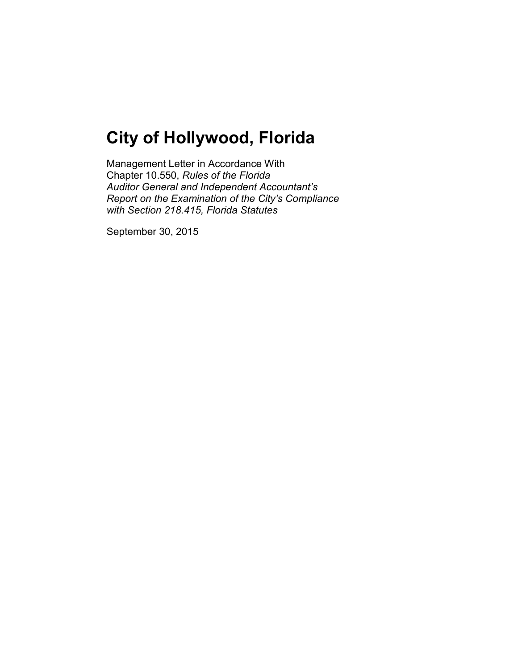Management Letter in Accordance With Chapter 10.550, *Rules of the Florida Auditor General and Independent Accountant's Report on the Examination of the City's Compliance with Section 218.415, Florida Statutes*

September 30, 2015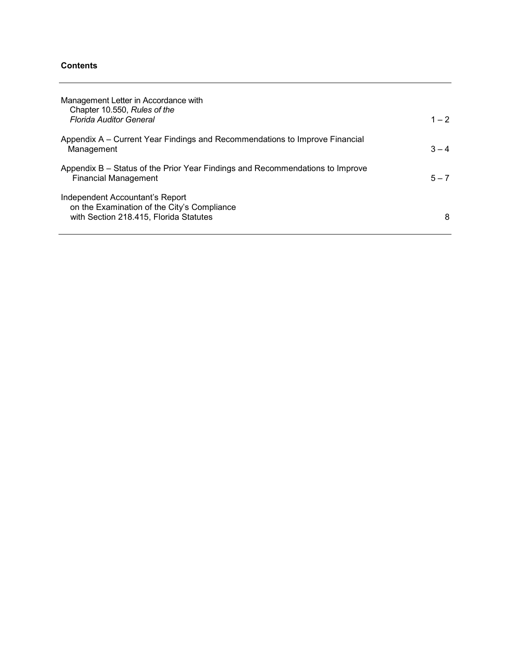# **Contents**

| Management Letter in Accordance with<br>Chapter 10.550, Rules of the<br><b>Florida Auditor General</b>                   | $1 - 2$ |
|--------------------------------------------------------------------------------------------------------------------------|---------|
| Appendix A – Current Year Findings and Recommendations to Improve Financial<br>Management                                | $3 - 4$ |
| Appendix B – Status of the Prior Year Findings and Recommendations to Improve<br><b>Financial Management</b>             | $5 - 7$ |
| Independent Accountant's Report<br>on the Examination of the City's Compliance<br>with Section 218.415, Florida Statutes | 8       |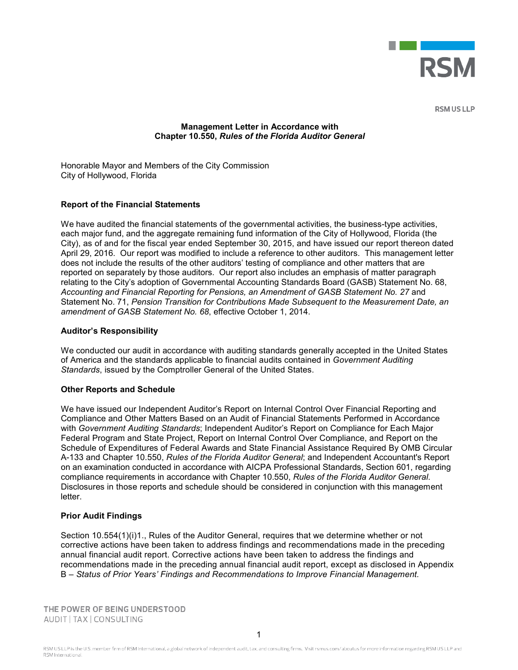

**RSM US LLP** 

# **Management Letter in Accordance with Chapter 10.550,** *Rules of the Florida Auditor General*

Honorable Mayor and Members of the City Commission City of Hollywood, Florida

# **Report of the Financial Statements**

We have audited the financial statements of the governmental activities, the business-type activities, each major fund, and the aggregate remaining fund information of the City of Hollywood, Florida (the City), as of and for the fiscal year ended September 30, 2015, and have issued our report thereon dated April 29, 2016. Our report was modified to include a reference to other auditors. This management letter does not include the results of the other auditors' testing of compliance and other matters that are reported on separately by those auditors. Our report also includes an emphasis of matter paragraph relating to the City's adoption of Governmental Accounting Standards Board (GASB) Statement No. 68, *Accounting and Financial Reporting for Pensions, an Amendment of GASB Statement No. 27* and Statement No. 71, *Pension Transition for Contributions Made Subsequent to the Measurement Date, an amendment of GASB Statement No. 68*, effective October 1, 2014.

### **Auditor's Responsibility**

We conducted our audit in accordance with auditing standards generally accepted in the United States of America and the standards applicable to financial audits contained in *Government Auditing Standards*, issued by the Comptroller General of the United States.

#### **Other Reports and Schedule**

We have issued our Independent Auditor's Report on Internal Control Over Financial Reporting and Compliance and Other Matters Based on an Audit of Financial Statements Performed in Accordance with *Government Auditing Standards*; Independent Auditor's Report on Compliance for Each Major Federal Program and State Project, Report on Internal Control Over Compliance, and Report on the Schedule of Expenditures of Federal Awards and State Financial Assistance Required By OMB Circular A-133 and Chapter 10.550, *Rules of the Florida Auditor General*; and Independent Accountant's Report on an examination conducted in accordance with AICPA Professional Standards, Section 601, regarding compliance requirements in accordance with Chapter 10.550, *Rules of the Florida Auditor General*. Disclosures in those reports and schedule should be considered in conjunction with this management letter.

#### **Prior Audit Findings**

Section 10.554(1)(i)1., Rules of the Auditor General, requires that we determine whether or not corrective actions have been taken to address findings and recommendations made in the preceding annual financial audit report. Corrective actions have been taken to address the findings and recommendations made in the preceding annual financial audit report, except as disclosed in Appendix B – *Status of Prior Years' Findings and Recommendations to Improve Financial Management.*

THE POWER OF BEING UNDERSTOOD AUDIT | TAX | CONSULTING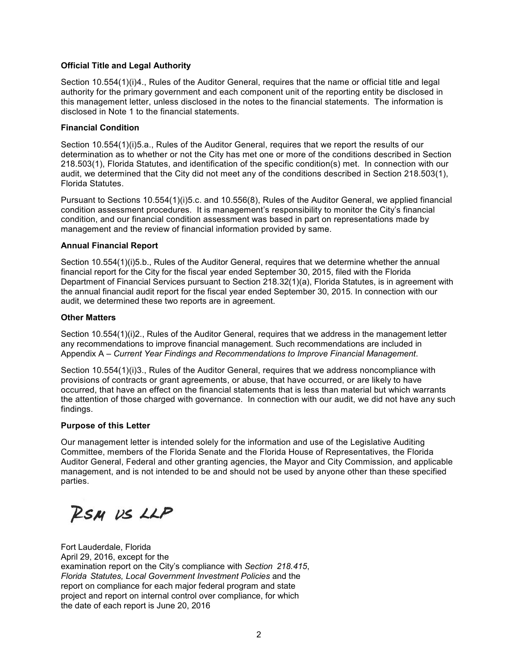# **Official Title and Legal Authority**

Section 10.554(1)(i)4., Rules of the Auditor General, requires that the name or official title and legal authority for the primary government and each component unit of the reporting entity be disclosed in this management letter, unless disclosed in the notes to the financial statements. The information is disclosed in Note 1 to the financial statements.

# **Financial Condition**

Section 10.554(1)(i)5.a., Rules of the Auditor General, requires that we report the results of our determination as to whether or not the City has met one or more of the conditions described in Section 218.503(1), Florida Statutes, and identification of the specific condition(s) met. In connection with our audit, we determined that the City did not meet any of the conditions described in Section 218.503(1), Florida Statutes.

Pursuant to Sections 10.554(1)(i)5.c. and 10.556(8), Rules of the Auditor General, we applied financial condition assessment procedures. It is management's responsibility to monitor the City's financial condition, and our financial condition assessment was based in part on representations made by management and the review of financial information provided by same.

# **Annual Financial Report**

Section 10.554(1)(i)5.b., Rules of the Auditor General, requires that we determine whether the annual financial report for the City for the fiscal year ended September 30, 2015, filed with the Florida Department of Financial Services pursuant to Section 218.32(1)(a), Florida Statutes, is in agreement with the annual financial audit report for the fiscal year ended September 30, 2015. In connection with our audit, we determined these two reports are in agreement.

# **Other Matters**

Section 10.554(1)(i)2., Rules of the Auditor General, requires that we address in the management letter any recommendations to improve financial management. Such recommendations are included in Appendix A – *Current Year Findings and Recommendations to Improve Financial Management*.

Section 10.554(1)(i)3., Rules of the Auditor General, requires that we address noncompliance with provisions of contracts or grant agreements, or abuse, that have occurred, or are likely to have occurred, that have an effect on the financial statements that is less than material but which warrants the attention of those charged with governance. In connection with our audit, we did not have any such findings.

# **Purpose of this Letter**

Our management letter is intended solely for the information and use of the Legislative Auditing Committee, members of the Florida Senate and the Florida House of Representatives, the Florida Auditor General, Federal and other granting agencies, the Mayor and City Commission, and applicable management, and is not intended to be and should not be used by anyone other than these specified parties.

RSM US LLP

Fort Lauderdale, Florida April 29, 2016, except for the examination report on the City's compliance with *Section 218.415*, *Florida Statutes, Local Government Investment Policies* and the report on compliance for each major federal program and state project and report on internal control over compliance, for which the date of each report is June 20, 2016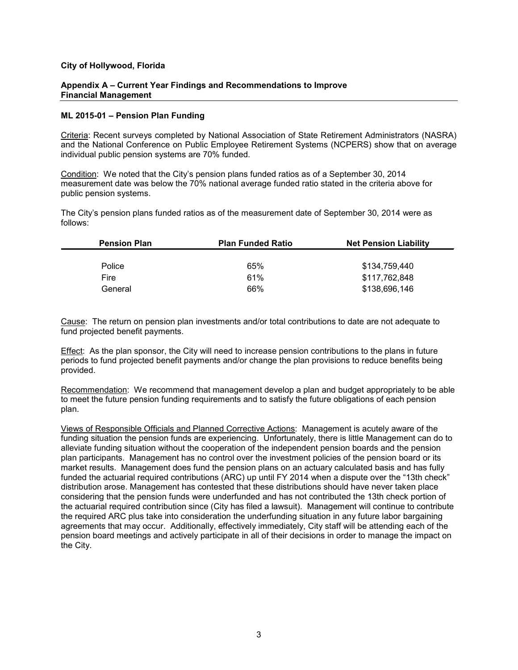#### **Appendix A – Current Year Findings and Recommendations to Improve Financial Management**

### **ML 2015-01 – Pension Plan Funding**

Criteria: Recent surveys completed by National Association of State Retirement Administrators (NASRA) and the National Conference on Public Employee Retirement Systems (NCPERS) show that on average individual public pension systems are 70% funded.

Condition: We noted that the City's pension plans funded ratios as of a September 30, 2014 measurement date was below the 70% national average funded ratio stated in the criteria above for public pension systems.

The City's pension plans funded ratios as of the measurement date of September 30, 2014 were as follows:

| <b>Pension Plan</b> | <b>Plan Funded Ratio</b> | <b>Net Pension Liability</b> |
|---------------------|--------------------------|------------------------------|
|                     |                          |                              |
| Police              | 65%                      | \$134.759.440                |
| Fire                | 61%                      | \$117,762,848                |
| General             | 66%                      | \$138,696,146                |

Cause: The return on pension plan investments and/or total contributions to date are not adequate to fund projected benefit payments.

Effect: As the plan sponsor, the City will need to increase pension contributions to the plans in future periods to fund projected benefit payments and/or change the plan provisions to reduce benefits being provided.

Recommendation: We recommend that management develop a plan and budget appropriately to be able to meet the future pension funding requirements and to satisfy the future obligations of each pension plan.

Views of Responsible Officials and Planned Corrective Actions: Management is acutely aware of the funding situation the pension funds are experiencing. Unfortunately, there is little Management can do to alleviate funding situation without the cooperation of the independent pension boards and the pension plan participants. Management has no control over the investment policies of the pension board or its market results. Management does fund the pension plans on an actuary calculated basis and has fully funded the actuarial required contributions (ARC) up until FY 2014 when a dispute over the "13th check" distribution arose. Management has contested that these distributions should have never taken place considering that the pension funds were underfunded and has not contributed the 13th check portion of the actuarial required contribution since (City has filed a lawsuit). Management will continue to contribute the required ARC plus take into consideration the underfunding situation in any future labor bargaining agreements that may occur. Additionally, effectively immediately, City staff will be attending each of the pension board meetings and actively participate in all of their decisions in order to manage the impact on the City.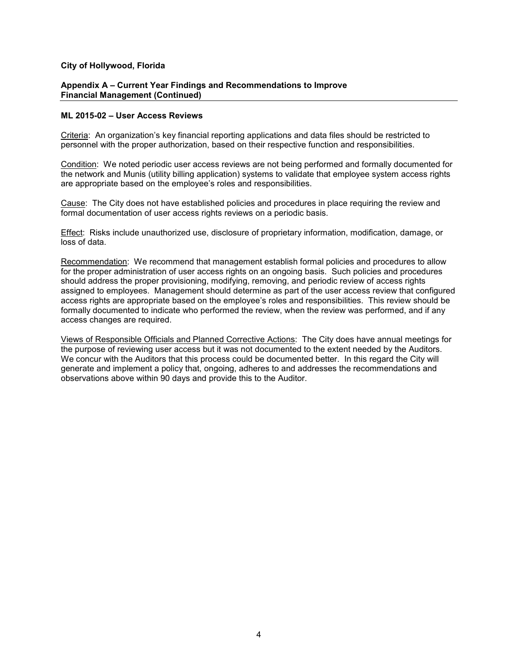#### **Appendix A – Current Year Findings and Recommendations to Improve Financial Management (Continued)**

#### **ML 2015-02 – User Access Reviews**

Criteria: An organization's key financial reporting applications and data files should be restricted to personnel with the proper authorization, based on their respective function and responsibilities.

Condition: We noted periodic user access reviews are not being performed and formally documented for the network and Munis (utility billing application) systems to validate that employee system access rights are appropriate based on the employee's roles and responsibilities.

Cause: The City does not have established policies and procedures in place requiring the review and formal documentation of user access rights reviews on a periodic basis.

Effect: Risks include unauthorized use, disclosure of proprietary information, modification, damage, or loss of data.

Recommendation: We recommend that management establish formal policies and procedures to allow for the proper administration of user access rights on an ongoing basis. Such policies and procedures should address the proper provisioning, modifying, removing, and periodic review of access rights assigned to employees. Management should determine as part of the user access review that configured access rights are appropriate based on the employee's roles and responsibilities. This review should be formally documented to indicate who performed the review, when the review was performed, and if any access changes are required.

Views of Responsible Officials and Planned Corrective Actions: The City does have annual meetings for the purpose of reviewing user access but it was not documented to the extent needed by the Auditors. We concur with the Auditors that this process could be documented better. In this regard the City will generate and implement a policy that, ongoing, adheres to and addresses the recommendations and observations above within 90 days and provide this to the Auditor.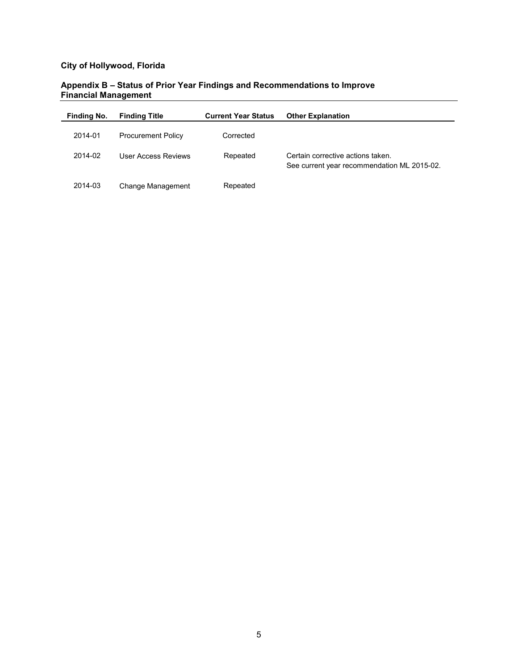# **Appendix B – Status of Prior Year Findings and Recommendations to Improve Financial Management**

| Finding No. | <b>Finding Title</b>      | <b>Current Year Status</b> | <b>Other Explanation</b>                                                         |
|-------------|---------------------------|----------------------------|----------------------------------------------------------------------------------|
| 2014-01     | <b>Procurement Policy</b> | Corrected                  |                                                                                  |
| 2014-02     | User Access Reviews       | Repeated                   | Certain corrective actions taken.<br>See current year recommendation ML 2015-02. |
| 2014-03     | Change Management         | Repeated                   |                                                                                  |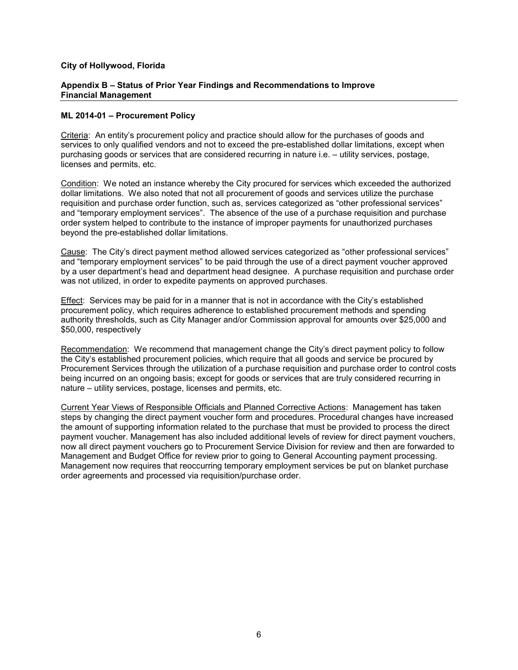### **Appendix B – Status of Prior Year Findings and Recommendations to Improve Financial Management**

# **ML 2014-01 – Procurement Policy**

Criteria: An entity's procurement policy and practice should allow for the purchases of goods and services to only qualified vendors and not to exceed the pre-established dollar limitations, except when purchasing goods or services that are considered recurring in nature i.e. – utility services, postage, licenses and permits, etc.

Condition: We noted an instance whereby the City procured for services which exceeded the authorized dollar limitations. We also noted that not all procurement of goods and services utilize the purchase requisition and purchase order function, such as, services categorized as "other professional services" and "temporary employment services". The absence of the use of a purchase requisition and purchase order system helped to contribute to the instance of improper payments for unauthorized purchases beyond the pre-established dollar limitations.

Cause: The City's direct payment method allowed services categorized as "other professional services" and "temporary employment services" to be paid through the use of a direct payment voucher approved by a user department's head and department head designee. A purchase requisition and purchase order was not utilized, in order to expedite payments on approved purchases.

Effect: Services may be paid for in a manner that is not in accordance with the City's established procurement policy, which requires adherence to established procurement methods and spending authority thresholds, such as City Manager and/or Commission approval for amounts over \$25,000 and \$50,000, respectively

Recommendation: We recommend that management change the City's direct payment policy to follow the City's established procurement policies, which require that all goods and service be procured by Procurement Services through the utilization of a purchase requisition and purchase order to control costs being incurred on an ongoing basis; except for goods or services that are truly considered recurring in nature – utility services, postage, licenses and permits, etc.

Current Year Views of Responsible Officials and Planned Corrective Actions: Management has taken steps by changing the direct payment voucher form and procedures. Procedural changes have increased the amount of supporting information related to the purchase that must be provided to process the direct payment voucher. Management has also included additional levels of review for direct payment vouchers, now all direct payment vouchers go to Procurement Service Division for review and then are forwarded to Management and Budget Office for review prior to going to General Accounting payment processing. Management now requires that reoccurring temporary employment services be put on blanket purchase order agreements and processed via requisition/purchase order.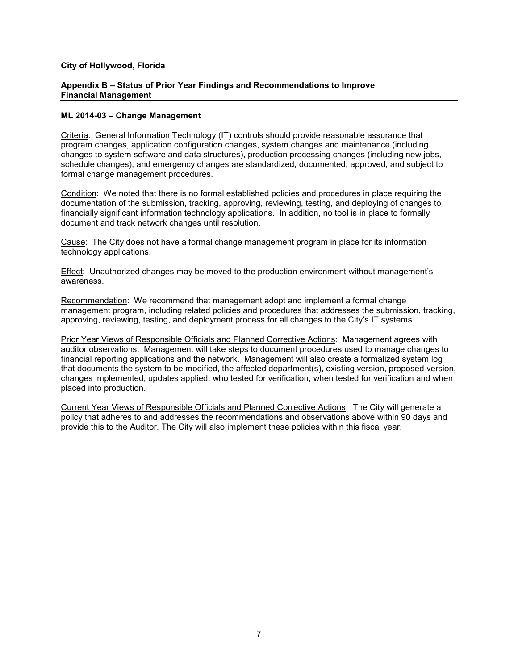### **Appendix B – Status of Prior Year Findings and Recommendations to Improve Financial Management**

# **ML 2014-03 – Change Management**

Criteria: General Information Technology (IT) controls should provide reasonable assurance that program changes, application configuration changes, system changes and maintenance (including changes to system software and data structures), production processing changes (including new jobs, schedule changes), and emergency changes are standardized, documented, approved, and subject to formal change management procedures.

Condition: We noted that there is no formal established policies and procedures in place requiring the documentation of the submission, tracking, approving, reviewing, testing, and deploying of changes to financially significant information technology applications. In addition, no tool is in place to formally document and track network changes until resolution.

Cause: The City does not have a formal change management program in place for its information technology applications.

Effect: Unauthorized changes may be moved to the production environment without management's awareness.

Recommendation: We recommend that management adopt and implement a formal change management program, including related policies and procedures that addresses the submission, tracking, approving, reviewing, testing, and deployment process for all changes to the City's IT systems.

Prior Year Views of Responsible Officials and Planned Corrective Actions: Management agrees with auditor observations. Management will take steps to document procedures used to manage changes to financial reporting applications and the network. Management will also create a formalized system log that documents the system to be modified, the affected department(s), existing version, proposed version, changes implemented, updates applied, who tested for verification, when tested for verification and when placed into production.

Current Year Views of Responsible Officials and Planned Corrective Actions: The City will generate a policy that adheres to and addresses the recommendations and observations above within 90 days and provide this to the Auditor. The City will also implement these policies within this fiscal year.